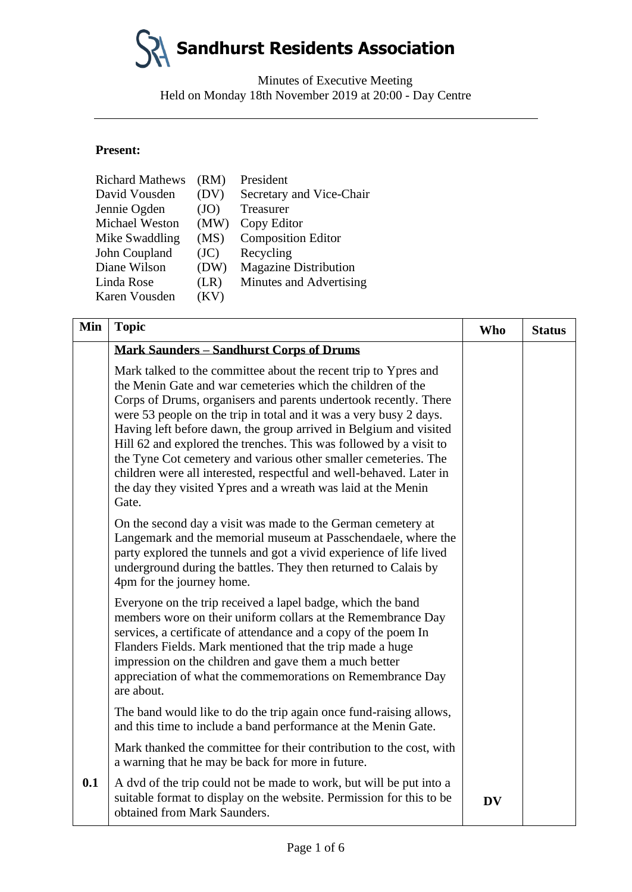Minutes of Executive Meeting Held on Monday 18th November 2019 at 20:00 - Day Centre

#### **Present:**

| <b>Richard Mathews</b> | (RM) | President                    |
|------------------------|------|------------------------------|
| David Vousden          | (DV) | Secretary and Vice-Chair     |
| Jennie Ogden           | (JO) | Treasurer                    |
| <b>Michael Weston</b>  | (MW) | Copy Editor                  |
| Mike Swaddling         | (MS) | <b>Composition Editor</b>    |
| John Coupland          | (JC) | Recycling                    |
| Diane Wilson           | (DW) | <b>Magazine Distribution</b> |
| Linda Rose             | (LR) | Minutes and Advertising      |
| Karen Vousden          | (KV) |                              |

| Min | <b>Topic</b>                                                                                                                                                                                                                                                                                                                                                                                                                                                                                                                                                                                                                            | <b>Who</b> | <b>Status</b> |
|-----|-----------------------------------------------------------------------------------------------------------------------------------------------------------------------------------------------------------------------------------------------------------------------------------------------------------------------------------------------------------------------------------------------------------------------------------------------------------------------------------------------------------------------------------------------------------------------------------------------------------------------------------------|------------|---------------|
|     | <b>Mark Saunders - Sandhurst Corps of Drums</b>                                                                                                                                                                                                                                                                                                                                                                                                                                                                                                                                                                                         |            |               |
|     | Mark talked to the committee about the recent trip to Ypres and<br>the Menin Gate and war cemeteries which the children of the<br>Corps of Drums, organisers and parents undertook recently. There<br>were 53 people on the trip in total and it was a very busy 2 days.<br>Having left before dawn, the group arrived in Belgium and visited<br>Hill 62 and explored the trenches. This was followed by a visit to<br>the Tyne Cot cemetery and various other smaller cemeteries. The<br>children were all interested, respectful and well-behaved. Later in<br>the day they visited Ypres and a wreath was laid at the Menin<br>Gate. |            |               |
|     | On the second day a visit was made to the German cemetery at<br>Langemark and the memorial museum at Passchendaele, where the<br>party explored the tunnels and got a vivid experience of life lived<br>underground during the battles. They then returned to Calais by<br>4pm for the journey home.                                                                                                                                                                                                                                                                                                                                    |            |               |
|     | Everyone on the trip received a lapel badge, which the band<br>members wore on their uniform collars at the Remembrance Day<br>services, a certificate of attendance and a copy of the poem In<br>Flanders Fields. Mark mentioned that the trip made a huge<br>impression on the children and gave them a much better<br>appreciation of what the commemorations on Remembrance Day<br>are about.                                                                                                                                                                                                                                       |            |               |
|     | The band would like to do the trip again once fund-raising allows,<br>and this time to include a band performance at the Menin Gate.                                                                                                                                                                                                                                                                                                                                                                                                                                                                                                    |            |               |
|     | Mark thanked the committee for their contribution to the cost, with<br>a warning that he may be back for more in future.                                                                                                                                                                                                                                                                                                                                                                                                                                                                                                                |            |               |
| 0.1 | A dvd of the trip could not be made to work, but will be put into a<br>suitable format to display on the website. Permission for this to be<br>obtained from Mark Saunders.                                                                                                                                                                                                                                                                                                                                                                                                                                                             | <b>DV</b>  |               |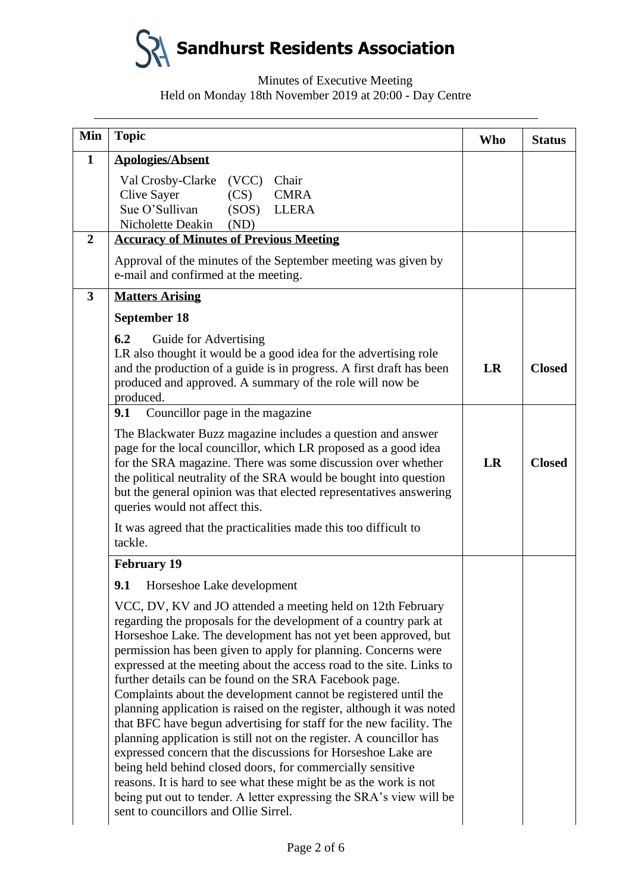

# Minutes of Executive Meeting Held on Monday 18th November 2019 at 20:00 - Day Centre

| Min              | <b>Topic</b>                                                                                                                                                                                                                                                                                                                                                                                                                                                                                                                                                                                                                                                                                                                                                                                                                                                                                                                                                                                                        | <b>Who</b> | <b>Status</b> |
|------------------|---------------------------------------------------------------------------------------------------------------------------------------------------------------------------------------------------------------------------------------------------------------------------------------------------------------------------------------------------------------------------------------------------------------------------------------------------------------------------------------------------------------------------------------------------------------------------------------------------------------------------------------------------------------------------------------------------------------------------------------------------------------------------------------------------------------------------------------------------------------------------------------------------------------------------------------------------------------------------------------------------------------------|------------|---------------|
| $\mathbf{1}$     | <b>Apologies/Absent</b>                                                                                                                                                                                                                                                                                                                                                                                                                                                                                                                                                                                                                                                                                                                                                                                                                                                                                                                                                                                             |            |               |
|                  | Val Crosby-Clarke (VCC)<br>Chair<br><b>Clive Sayer</b><br>(CS)<br><b>CMRA</b><br>Sue O'Sullivan<br>(SOS)<br><b>LLERA</b><br>Nicholette Deakin<br>(ND)                                                                                                                                                                                                                                                                                                                                                                                                                                                                                                                                                                                                                                                                                                                                                                                                                                                               |            |               |
| $\boldsymbol{2}$ | <b>Accuracy of Minutes of Previous Meeting</b>                                                                                                                                                                                                                                                                                                                                                                                                                                                                                                                                                                                                                                                                                                                                                                                                                                                                                                                                                                      |            |               |
|                  | Approval of the minutes of the September meeting was given by<br>e-mail and confirmed at the meeting.                                                                                                                                                                                                                                                                                                                                                                                                                                                                                                                                                                                                                                                                                                                                                                                                                                                                                                               |            |               |
| 3                | <b>Matters Arising</b>                                                                                                                                                                                                                                                                                                                                                                                                                                                                                                                                                                                                                                                                                                                                                                                                                                                                                                                                                                                              |            |               |
|                  | September 18                                                                                                                                                                                                                                                                                                                                                                                                                                                                                                                                                                                                                                                                                                                                                                                                                                                                                                                                                                                                        |            |               |
|                  | 6.2<br>Guide for Advertising<br>LR also thought it would be a good idea for the advertising role<br>and the production of a guide is in progress. A first draft has been<br>produced and approved. A summary of the role will now be<br>produced.                                                                                                                                                                                                                                                                                                                                                                                                                                                                                                                                                                                                                                                                                                                                                                   |            | <b>Closed</b> |
|                  | 9.1<br>Councillor page in the magazine                                                                                                                                                                                                                                                                                                                                                                                                                                                                                                                                                                                                                                                                                                                                                                                                                                                                                                                                                                              |            |               |
|                  | The Blackwater Buzz magazine includes a question and answer<br>page for the local councillor, which LR proposed as a good idea<br>for the SRA magazine. There was some discussion over whether<br>the political neutrality of the SRA would be bought into question<br>but the general opinion was that elected representatives answering<br>queries would not affect this.                                                                                                                                                                                                                                                                                                                                                                                                                                                                                                                                                                                                                                         | <b>LR</b>  | <b>Closed</b> |
|                  | It was agreed that the practicalities made this too difficult to<br>tackle.                                                                                                                                                                                                                                                                                                                                                                                                                                                                                                                                                                                                                                                                                                                                                                                                                                                                                                                                         |            |               |
|                  | <b>February 19</b>                                                                                                                                                                                                                                                                                                                                                                                                                                                                                                                                                                                                                                                                                                                                                                                                                                                                                                                                                                                                  |            |               |
|                  | 9.1<br>Horseshoe Lake development                                                                                                                                                                                                                                                                                                                                                                                                                                                                                                                                                                                                                                                                                                                                                                                                                                                                                                                                                                                   |            |               |
|                  | VCC, DV, KV and JO attended a meeting held on 12th February<br>regarding the proposals for the development of a country park at<br>Horseshoe Lake. The development has not yet been approved, but<br>permission has been given to apply for planning. Concerns were<br>expressed at the meeting about the access road to the site. Links to<br>further details can be found on the SRA Facebook page.<br>Complaints about the development cannot be registered until the<br>planning application is raised on the register, although it was noted<br>that BFC have begun advertising for staff for the new facility. The<br>planning application is still not on the register. A councillor has<br>expressed concern that the discussions for Horseshoe Lake are<br>being held behind closed doors, for commercially sensitive<br>reasons. It is hard to see what these might be as the work is not<br>being put out to tender. A letter expressing the SRA's view will be<br>sent to councillors and Ollie Sirrel. |            |               |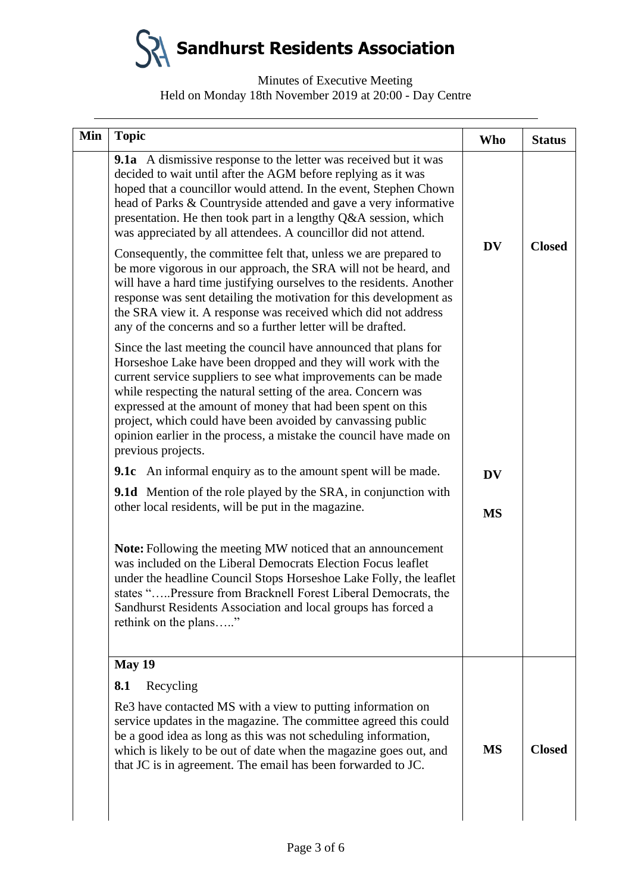### Minutes of Executive Meeting Held on Monday 18th November 2019 at 20:00 - Day Centre

| Min | <b>Topic</b>                                                                                                                                                                                                                                                                                                                                                                                                                                                                                                                                                                                                                                                                                          | Who       | <b>Status</b> |
|-----|-------------------------------------------------------------------------------------------------------------------------------------------------------------------------------------------------------------------------------------------------------------------------------------------------------------------------------------------------------------------------------------------------------------------------------------------------------------------------------------------------------------------------------------------------------------------------------------------------------------------------------------------------------------------------------------------------------|-----------|---------------|
|     | 9.1a A dismissive response to the letter was received but it was<br>decided to wait until after the AGM before replying as it was<br>hoped that a councillor would attend. In the event, Stephen Chown<br>head of Parks & Countryside attended and gave a very informative<br>presentation. He then took part in a lengthy Q&A session, which<br>was appreciated by all attendees. A councillor did not attend.<br>Consequently, the committee felt that, unless we are prepared to<br>be more vigorous in our approach, the SRA will not be heard, and<br>will have a hard time justifying ourselves to the residents. Another<br>response was sent detailing the motivation for this development as | <b>DV</b> | <b>Closed</b> |
|     | the SRA view it. A response was received which did not address<br>any of the concerns and so a further letter will be drafted.                                                                                                                                                                                                                                                                                                                                                                                                                                                                                                                                                                        |           |               |
|     | Since the last meeting the council have announced that plans for<br>Horseshoe Lake have been dropped and they will work with the<br>current service suppliers to see what improvements can be made<br>while respecting the natural setting of the area. Concern was<br>expressed at the amount of money that had been spent on this<br>project, which could have been avoided by canvassing public<br>opinion earlier in the process, a mistake the council have made on<br>previous projects.                                                                                                                                                                                                        |           |               |
|     | <b>9.1c</b> An informal enquiry as to the amount spent will be made.                                                                                                                                                                                                                                                                                                                                                                                                                                                                                                                                                                                                                                  | <b>DV</b> |               |
|     | <b>9.1d</b> Mention of the role played by the SRA, in conjunction with<br>other local residents, will be put in the magazine.                                                                                                                                                                                                                                                                                                                                                                                                                                                                                                                                                                         | <b>MS</b> |               |
|     | <b>Note:</b> Following the meeting MW noticed that an announcement<br>was included on the Liberal Democrats Election Focus leaflet<br>under the headline Council Stops Horseshoe Lake Folly, the leaflet<br>states "Pressure from Bracknell Forest Liberal Democrats, the<br>Sandhurst Residents Association and local groups has forced a<br>rethink on the plans"                                                                                                                                                                                                                                                                                                                                   |           |               |
|     | <b>May 19</b>                                                                                                                                                                                                                                                                                                                                                                                                                                                                                                                                                                                                                                                                                         |           |               |
|     | Recycling<br>8.1                                                                                                                                                                                                                                                                                                                                                                                                                                                                                                                                                                                                                                                                                      |           |               |
|     | Re3 have contacted MS with a view to putting information on<br>service updates in the magazine. The committee agreed this could<br>be a good idea as long as this was not scheduling information,<br>which is likely to be out of date when the magazine goes out, and<br>that JC is in agreement. The email has been forwarded to JC.                                                                                                                                                                                                                                                                                                                                                                | <b>MS</b> | <b>Closed</b> |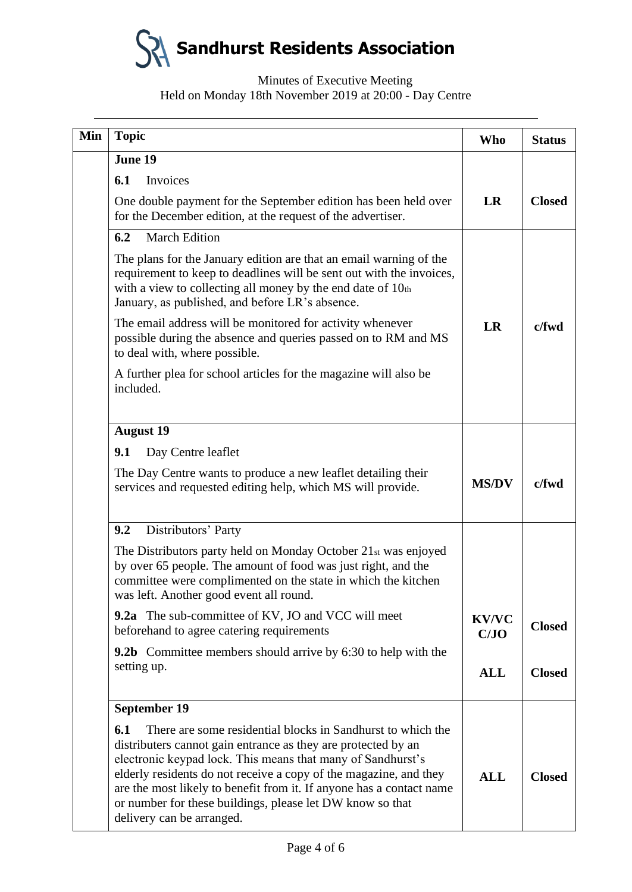# Minutes of Executive Meeting Held on Monday 18th November 2019 at 20:00 - Day Centre

| Min | <b>Topic</b>                                                                                                                                                                                                                                                                                                                                                                                                                              | <b>Who</b>           | <b>Status</b> |
|-----|-------------------------------------------------------------------------------------------------------------------------------------------------------------------------------------------------------------------------------------------------------------------------------------------------------------------------------------------------------------------------------------------------------------------------------------------|----------------------|---------------|
|     | June 19                                                                                                                                                                                                                                                                                                                                                                                                                                   |                      |               |
|     | Invoices<br>6.1                                                                                                                                                                                                                                                                                                                                                                                                                           |                      |               |
|     | One double payment for the September edition has been held over<br>for the December edition, at the request of the advertiser.                                                                                                                                                                                                                                                                                                            | LR                   | <b>Closed</b> |
|     | 6.2<br><b>March Edition</b>                                                                                                                                                                                                                                                                                                                                                                                                               |                      |               |
|     | The plans for the January edition are that an email warning of the<br>requirement to keep to deadlines will be sent out with the invoices,<br>with a view to collecting all money by the end date of $10th$<br>January, as published, and before LR's absence.                                                                                                                                                                            |                      |               |
|     | The email address will be monitored for activity whenever<br>possible during the absence and queries passed on to RM and MS<br>to deal with, where possible.                                                                                                                                                                                                                                                                              | LR                   | $c$ fwd       |
|     | A further plea for school articles for the magazine will also be<br>included.                                                                                                                                                                                                                                                                                                                                                             |                      |               |
|     | <b>August 19</b>                                                                                                                                                                                                                                                                                                                                                                                                                          |                      |               |
|     | 9.1<br>Day Centre leaflet                                                                                                                                                                                                                                                                                                                                                                                                                 |                      |               |
|     | The Day Centre wants to produce a new leaflet detailing their<br>services and requested editing help, which MS will provide.                                                                                                                                                                                                                                                                                                              | <b>MS/DV</b>         | $c$ fwd       |
|     | Distributors' Party<br>9.2                                                                                                                                                                                                                                                                                                                                                                                                                |                      |               |
|     | The Distributors party held on Monday October 21st was enjoyed<br>by over 65 people. The amount of food was just right, and the<br>committee were complimented on the state in which the kitchen<br>was left. Another good event all round.                                                                                                                                                                                               |                      |               |
|     | <b>9.2a</b> The sub-committee of KV, JO and VCC will meet<br>beforehand to agree catering requirements                                                                                                                                                                                                                                                                                                                                    | <b>KV/VC</b><br>C/JO | <b>Closed</b> |
|     | <b>9.2b</b> Committee members should arrive by 6:30 to help with the                                                                                                                                                                                                                                                                                                                                                                      |                      |               |
|     | setting up.                                                                                                                                                                                                                                                                                                                                                                                                                               | <b>ALL</b>           | <b>Closed</b> |
|     | September 19                                                                                                                                                                                                                                                                                                                                                                                                                              |                      |               |
|     | There are some residential blocks in Sandhurst to which the<br>6.1<br>distributers cannot gain entrance as they are protected by an<br>electronic keypad lock. This means that many of Sandhurst's<br>elderly residents do not receive a copy of the magazine, and they<br>are the most likely to benefit from it. If anyone has a contact name<br>or number for these buildings, please let DW know so that<br>delivery can be arranged. | <b>ALL</b>           | <b>Closed</b> |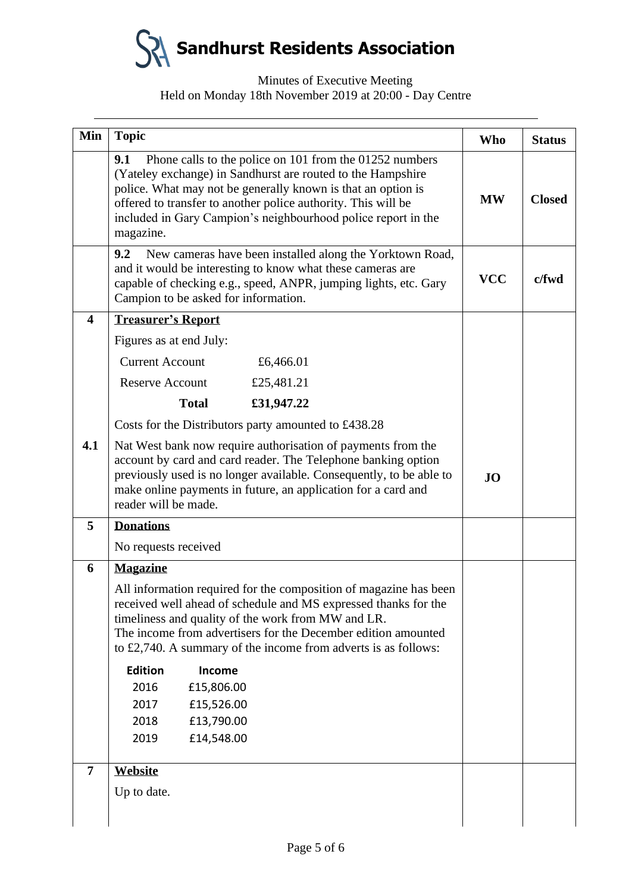### Minutes of Executive Meeting Held on Monday 18th November 2019 at 20:00 - Day Centre

| Min                     | <b>Topic</b>                                                                                                                                                                                                                                                                                                                                                                                                                                                         | <b>Who</b> | <b>Status</b> |
|-------------------------|----------------------------------------------------------------------------------------------------------------------------------------------------------------------------------------------------------------------------------------------------------------------------------------------------------------------------------------------------------------------------------------------------------------------------------------------------------------------|------------|---------------|
|                         | Phone calls to the police on 101 from the 01252 numbers<br>9.1<br>(Yateley exchange) in Sandhurst are routed to the Hampshire<br>police. What may not be generally known is that an option is<br>offered to transfer to another police authority. This will be<br>included in Gary Campion's neighbourhood police report in the<br>magazine.                                                                                                                         |            | <b>Closed</b> |
|                         | 9.2<br>New cameras have been installed along the Yorktown Road,<br>and it would be interesting to know what these cameras are<br>capable of checking e.g., speed, ANPR, jumping lights, etc. Gary<br>Campion to be asked for information.                                                                                                                                                                                                                            | <b>VCC</b> | c/fwd         |
| $\overline{\mathbf{4}}$ | <b>Treasurer's Report</b>                                                                                                                                                                                                                                                                                                                                                                                                                                            |            |               |
|                         | Figures as at end July:                                                                                                                                                                                                                                                                                                                                                                                                                                              |            |               |
|                         | <b>Current Account</b><br>£6,466.01                                                                                                                                                                                                                                                                                                                                                                                                                                  |            |               |
|                         | <b>Reserve Account</b><br>£25,481.21                                                                                                                                                                                                                                                                                                                                                                                                                                 |            |               |
|                         | <b>Total</b><br>£31,947.22                                                                                                                                                                                                                                                                                                                                                                                                                                           |            |               |
|                         | Costs for the Distributors party amounted to £438.28                                                                                                                                                                                                                                                                                                                                                                                                                 |            |               |
| 4.1                     | Nat West bank now require authorisation of payments from the<br>account by card and card reader. The Telephone banking option<br>previously used is no longer available. Consequently, to be able to<br>make online payments in future, an application for a card and<br>reader will be made.                                                                                                                                                                        | <b>JO</b>  |               |
| 5                       | <b>Donations</b>                                                                                                                                                                                                                                                                                                                                                                                                                                                     |            |               |
|                         | No requests received                                                                                                                                                                                                                                                                                                                                                                                                                                                 |            |               |
| 6                       | <b>Magazine</b><br>All information required for the composition of magazine has been<br>received well ahead of schedule and MS expressed thanks for the<br>timeliness and quality of the work from MW and LR.<br>The income from advertisers for the December edition amounted<br>to £2,740. A summary of the income from adverts is as follows:<br><b>Edition</b><br>Income<br>2016<br>£15,806.00<br>2017<br>£15,526.00<br>2018<br>£13,790.00<br>2019<br>£14,548.00 |            |               |
| $\overline{7}$          | Website                                                                                                                                                                                                                                                                                                                                                                                                                                                              |            |               |
|                         | Up to date.                                                                                                                                                                                                                                                                                                                                                                                                                                                          |            |               |